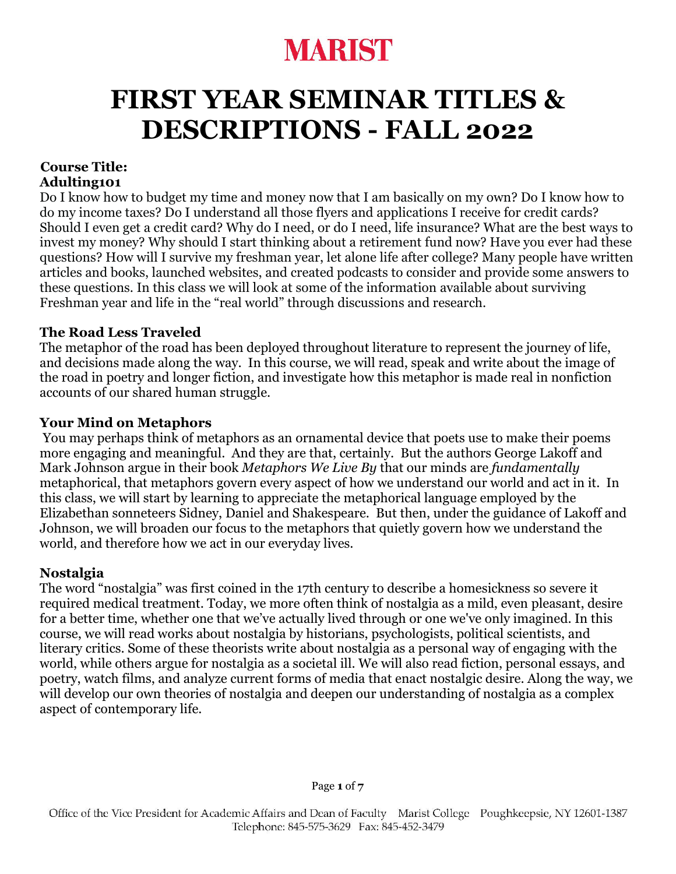## **FIRST YEAR SEMINAR TITLES & DESCRIPTIONS - FALL 2022**

#### **Course Title: Adulting101**

Do I know how to budget my time and money now that I am basically on my own? Do I know how to do my income taxes? Do I understand all those flyers and applications I receive for credit cards? Should I even get a credit card? Why do I need, or do I need, life insurance? What are the best ways to invest my money? Why should I start thinking about a retirement fund now? Have you ever had these questions? How will I survive my freshman year, let alone life after college? Many people have written articles and books, launched websites, and created podcasts to consider and provide some answers to these questions. In this class we will look at some of the information available about surviving Freshman year and life in the "real world" through discussions and research.

### **The Road Less Traveled**

The metaphor of the road has been deployed throughout literature to represent the journey of life, and decisions made along the way. In this course, we will read, speak and write about the image of the road in poetry and longer fiction, and investigate how this metaphor is made real in nonfiction accounts of our shared human struggle.

### **Your Mind on Metaphors**

You may perhaps think of metaphors as an ornamental device that poets use to make their poems more engaging and meaningful. And they are that, certainly. But the authors George Lakoff and Mark Johnson argue in their book *Metaphors We Live By* that our minds are *fundamentally* metaphorical, that metaphors govern every aspect of how we understand our world and act in it. In this class, we will start by learning to appreciate the metaphorical language employed by the Elizabethan sonneteers Sidney, Daniel and Shakespeare. But then, under the guidance of Lakoff and Johnson, we will broaden our focus to the metaphors that quietly govern how we understand the world, and therefore how we act in our everyday lives.

## **Nostalgia**

The word "nostalgia" was first coined in the 17th century to describe a homesickness so severe it required medical treatment. Today, we more often think of nostalgia as a mild, even pleasant, desire for a better time, whether one that we've actually lived through or one we've only imagined. In this course, we will read works about nostalgia by historians, psychologists, political scientists, and literary critics. Some of these theorists write about nostalgia as a personal way of engaging with the world, while others argue for nostalgia as a societal ill. We will also read fiction, personal essays, and poetry, watch films, and analyze current forms of media that enact nostalgic desire. Along the way, we will develop our own theories of nostalgia and deepen our understanding of nostalgia as a complex aspect of contemporary life.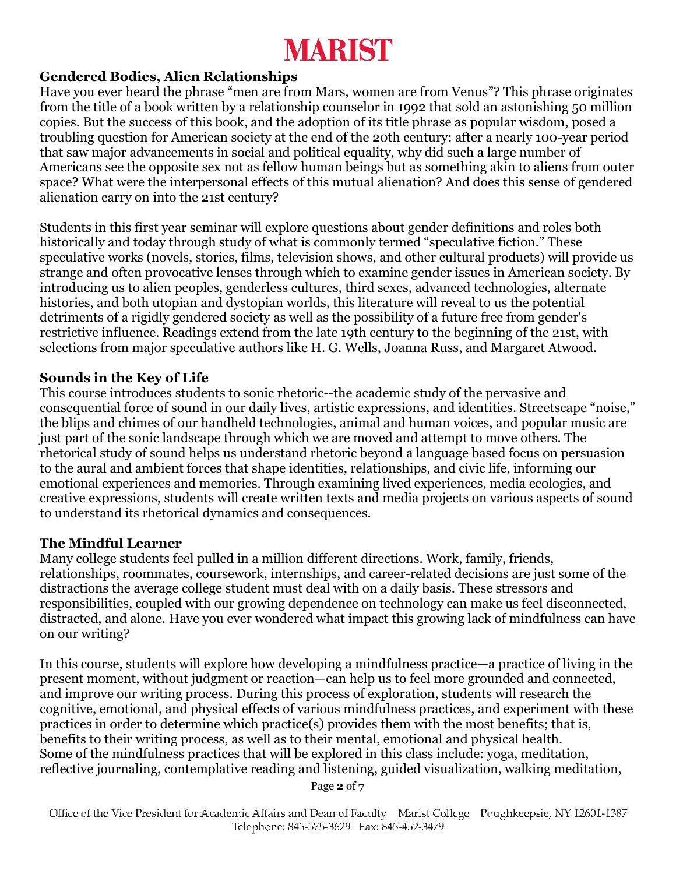### **Gendered Bodies, Alien Relationships**

Have you ever heard the phrase "men are from Mars, women are from Venus"? This phrase originates from the title of a book written by a relationship counselor in 1992 that sold an astonishing 50 million copies. But the success of this book, and the adoption of its title phrase as popular wisdom, posed a troubling question for American society at the end of the 20th century: after a nearly 100-year period that saw major advancements in social and political equality, why did such a large number of Americans see the opposite sex not as fellow human beings but as something akin to aliens from outer space? What were the interpersonal effects of this mutual alienation? And does this sense of gendered alienation carry on into the 21st century?

Students in this first year seminar will explore questions about gender definitions and roles both historically and today through study of what is commonly termed "speculative fiction." These speculative works (novels, stories, films, television shows, and other cultural products) will provide us strange and often provocative lenses through which to examine gender issues in American society. By introducing us to alien peoples, genderless cultures, third sexes, advanced technologies, alternate histories, and both utopian and dystopian worlds, this literature will reveal to us the potential detriments of a rigidly gendered society as well as the possibility of a future free from gender's restrictive influence. Readings extend from the late 19th century to the beginning of the 21st, with selections from major speculative authors like H. G. Wells, Joanna Russ, and Margaret Atwood.

#### **Sounds in the Key of Life**

This course introduces students to sonic rhetoric--the academic study of the pervasive and consequential force of sound in our daily lives, artistic expressions, and identities. Streetscape "noise," the blips and chimes of our handheld technologies, animal and human voices, and popular music are just part of the sonic landscape through which we are moved and attempt to move others. The rhetorical study of sound helps us understand rhetoric beyond a language based focus on persuasion to the aural and ambient forces that shape identities, relationships, and civic life, informing our emotional experiences and memories. Through examining lived experiences, media ecologies, and creative expressions, students will create written texts and media projects on various aspects of sound to understand its rhetorical dynamics and consequences.

#### **The Mindful Learner**

Many college students feel pulled in a million different directions. Work, family, friends, relationships, roommates, coursework, internships, and career-related decisions are just some of the distractions the average college student must deal with on a daily basis. These stressors and responsibilities, coupled with our growing dependence on technology can make us feel disconnected, distracted, and alone. Have you ever wondered what impact this growing lack of mindfulness can have on our writing?

In this course, students will explore how developing a mindfulness practice—a practice of living in the present moment, without judgment or reaction—can help us to feel more grounded and connected, and improve our writing process. During this process of exploration, students will research the cognitive, emotional, and physical effects of various mindfulness practices, and experiment with these practices in order to determine which practice(s) provides them with the most benefits; that is, benefits to their writing process, as well as to their mental, emotional and physical health. Some of the mindfulness practices that will be explored in this class include: yoga, meditation, reflective journaling, contemplative reading and listening, guided visualization, walking meditation,

Page **2** of **7**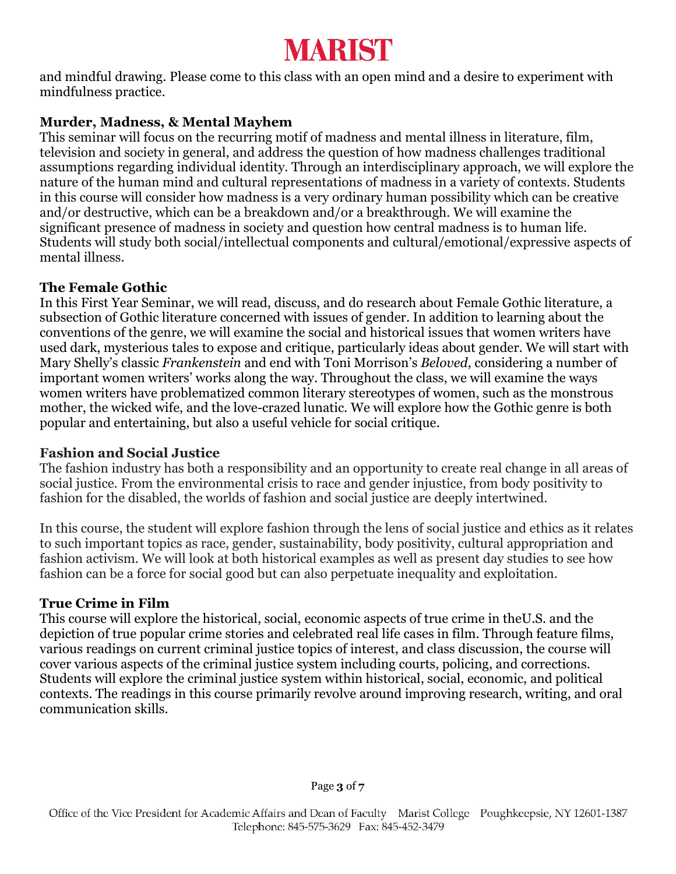and mindful drawing. Please come to this class with an open mind and a desire to experiment with mindfulness practice.

## **Murder, Madness, & Mental Mayhem**

This seminar will focus on the recurring motif of madness and mental illness in literature, film, television and society in general, and address the question of how madness challenges traditional assumptions regarding individual identity. Through an interdisciplinary approach, we will explore the nature of the human mind and cultural representations of madness in a variety of contexts. Students in this course will consider how madness is a very ordinary human possibility which can be creative and/or destructive, which can be a breakdown and/or a breakthrough. We will examine the significant presence of madness in society and question how central madness is to human life. Students will study both social/intellectual components and cultural/emotional/expressive aspects of mental illness.

## **The Female Gothic**

In this First Year Seminar, we will read, discuss, and do research about Female Gothic literature, a subsection of Gothic literature concerned with issues of gender. In addition to learning about the conventions of the genre, we will examine the social and historical issues that women writers have used dark, mysterious tales to expose and critique, particularly ideas about gender. We will start with Mary Shelly's classic *Frankenstein* and end with Toni Morrison's *Beloved*, considering a number of important women writers' works along the way. Throughout the class, we will examine the ways women writers have problematized common literary stereotypes of women, such as the monstrous mother, the wicked wife, and the love-crazed lunatic. We will explore how the Gothic genre is both popular and entertaining, but also a useful vehicle for social critique.

## **Fashion and Social Justice**

The fashion industry has both a responsibility and an opportunity to create real change in all areas of social justice. From the environmental crisis to race and gender injustice, from body positivity to fashion for the disabled, the worlds of fashion and social justice are deeply intertwined.

In this course, the student will explore fashion through the lens of social justice and ethics as it relates to such important topics as race, gender, sustainability, body positivity, cultural appropriation and fashion activism. We will look at both historical examples as well as present day studies to see how fashion can be a force for social good but can also perpetuate inequality and exploitation.

## **True Crime in Film**

This course will explore the historical, social, economic aspects of true crime in theU.S. and the depiction of true popular crime stories and celebrated real life cases in film. Through feature films, various readings on current criminal justice topics of interest, and class discussion, the course will cover various aspects of the criminal justice system including courts, policing, and corrections. Students will explore the criminal justice system within historical, social, economic, and political contexts. The readings in this course primarily revolve around improving research, writing, and oral communication skills.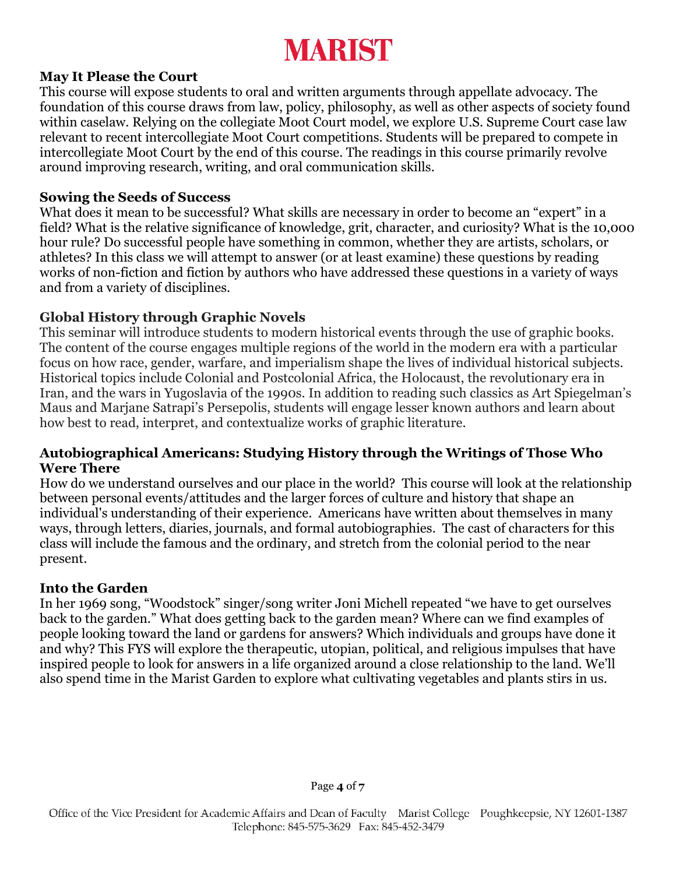### **May It Please the Court**

This course will expose students to oral and written arguments through appellate advocacy. The foundation of this course draws from law, policy, philosophy, as well as other aspects of society found within caselaw. Relying on the collegiate Moot Court model, we explore U.S. Supreme Court case law relevant to recent intercollegiate Moot Court competitions. Students will be prepared to compete in intercollegiate Moot Court by the end of this course. The readings in this course primarily revolve around improving research, writing, and oral communication skills.

### **Sowing the Seeds of Success**

What does it mean to be successful? What skills are necessary in order to become an "expert" in a field? What is the relative significance of knowledge, grit, character, and curiosity? What is the 10,000 hour rule? Do successful people have something in common, whether they are artists, scholars, or athletes? In this class we will attempt to answer (or at least examine) these questions by reading works of non-fiction and fiction by authors who have addressed these questions in a variety of ways and from a variety of disciplines.

## **Global History through Graphic Novels**

This seminar will introduce students to modern historical events through the use of graphic books. The content of the course engages multiple regions of the world in the modern era with a particular focus on how race, gender, warfare, and imperialism shape the lives of individual historical subjects. Historical topics include Colonial and Postcolonial Africa, the Holocaust, the revolutionary era in Iran, and the wars in Yugoslavia of the 1990s. In addition to reading such classics as Art Spiegelman's Maus and Marjane Satrapi's Persepolis, students will engage lesser known authors and learn about how best to read, interpret, and contextualize works of graphic literature.

#### **Autobiographical Americans: Studying History through the Writings of Those Who Were There**

How do we understand ourselves and our place in the world? This course will look at the relationship between personal events/attitudes and the larger forces of culture and history that shape an individual's understanding of their experience. Americans have written about themselves in many ways, through letters, diaries, journals, and formal autobiographies. The cast of characters for this class will include the famous and the ordinary, and stretch from the colonial period to the near present.

## **Into the Garden**

In her 1969 song, "Woodstock" singer/song writer Joni Michell repeated "we have to get ourselves back to the garden." What does getting back to the garden mean? Where can we find examples of people looking toward the land or gardens for answers? Which individuals and groups have done it and why? This FYS will explore the therapeutic, utopian, political, and religious impulses that have inspired people to look for answers in a life organized around a close relationship to the land. We'll also spend time in the Marist Garden to explore what cultivating vegetables and plants stirs in us.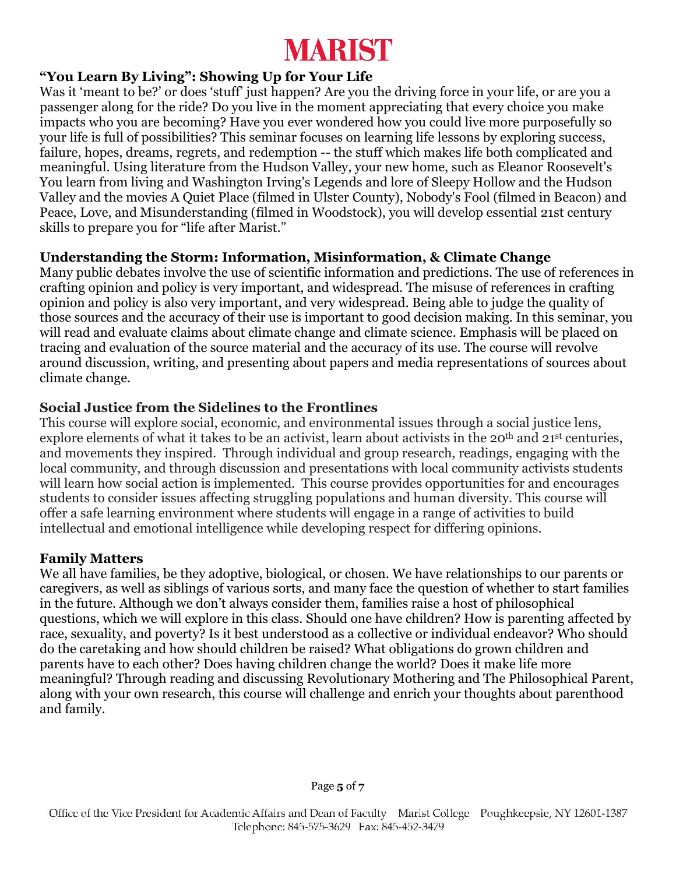## **"You Learn By Living": Showing Up for Your Life**

Was it 'meant to be?' or does 'stuff' just happen? Are you the driving force in your life, or are you a passenger along for the ride? Do you live in the moment appreciating that every choice you make impacts who you are becoming? Have you ever wondered how you could live more purposefully so your life is full of possibilities? This seminar focuses on learning life lessons by exploring success, failure, hopes, dreams, regrets, and redemption -- the stuff which makes life both complicated and meaningful. Using literature from the Hudson Valley, your new home, such as Eleanor Roosevelt's You learn from living and Washington Irving's Legends and lore of Sleepy Hollow and the Hudson Valley and the movies A Quiet Place (filmed in Ulster County), Nobody's Fool (filmed in Beacon) and Peace, Love, and Misunderstanding (filmed in Woodstock), you will develop essential 21st century skills to prepare you for "life after Marist."

## **Understanding the Storm: Information, Misinformation, & Climate Change**

Many public debates involve the use of scientific information and predictions. The use of references in crafting opinion and policy is very important, and widespread. The misuse of references in crafting opinion and policy is also very important, and very widespread. Being able to judge the quality of those sources and the accuracy of their use is important to good decision making. In this seminar, you will read and evaluate claims about climate change and climate science. Emphasis will be placed on tracing and evaluation of the source material and the accuracy of its use. The course will revolve around discussion, writing, and presenting about papers and media representations of sources about climate change.

## **Social Justice from the Sidelines to the Frontlines**

This course will explore social, economic, and environmental issues through a social justice lens, explore elements of what it takes to be an activist, learn about activists in the 20<sup>th</sup> and 21<sup>st</sup> centuries, and movements they inspired. Through individual and group research, readings, engaging with the local community, and through discussion and presentations with local community activists students will learn how social action is implemented. This course provides opportunities for and encourages students to consider issues affecting struggling populations and human diversity. This course will offer a safe learning environment where students will engage in a range of activities to build intellectual and emotional intelligence while developing respect for differing opinions.

## **Family Matters**

We all have families, be they adoptive, biological, or chosen. We have relationships to our parents or caregivers, as well as siblings of various sorts, and many face the question of whether to start families in the future. Although we don't always consider them, families raise a host of philosophical questions, which we will explore in this class. Should one have children? How is parenting affected by race, sexuality, and poverty? Is it best understood as a collective or individual endeavor? Who should do the caretaking and how should children be raised? What obligations do grown children and parents have to each other? Does having children change the world? Does it make life more meaningful? Through reading and discussing Revolutionary Mothering and The Philosophical Parent, along with your own research, this course will challenge and enrich your thoughts about parenthood and family.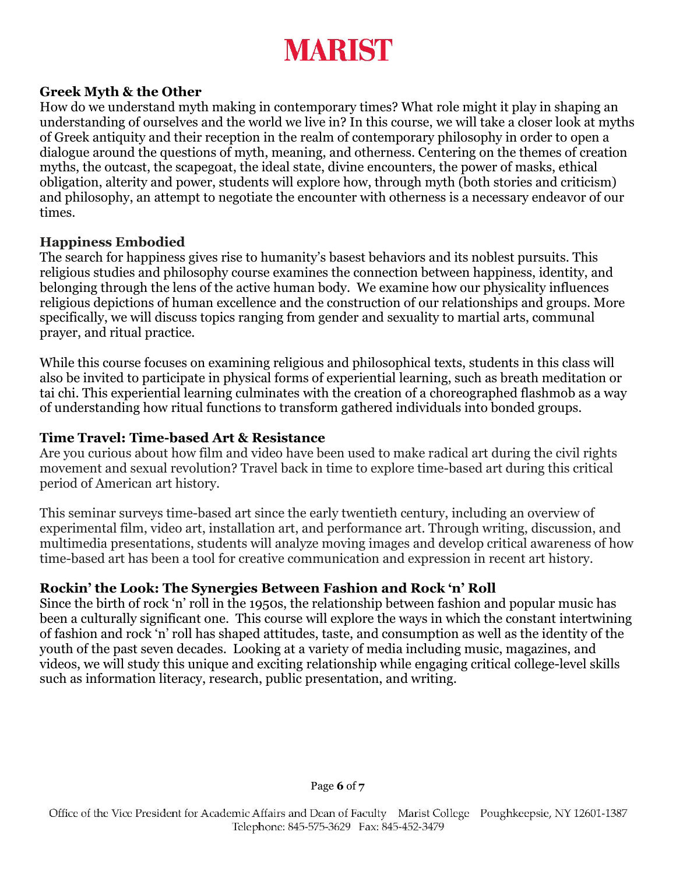#### **Greek Myth & the Other**

How do we understand myth making in contemporary times? What role might it play in shaping an understanding of ourselves and the world we live in? In this course, we will take a closer look at myths of Greek antiquity and their reception in the realm of contemporary philosophy in order to open a dialogue around the questions of myth, meaning, and otherness. Centering on the themes of creation myths, the outcast, the scapegoat, the ideal state, divine encounters, the power of masks, ethical obligation, alterity and power, students will explore how, through myth (both stories and criticism) and philosophy, an attempt to negotiate the encounter with otherness is a necessary endeavor of our times.

#### **Happiness Embodied**

The search for happiness gives rise to humanity's basest behaviors and its noblest pursuits. This religious studies and philosophy course examines the connection between happiness, identity, and belonging through the lens of the active human body. We examine how our physicality influences religious depictions of human excellence and the construction of our relationships and groups. More specifically, we will discuss topics ranging from gender and sexuality to martial arts, communal prayer, and ritual practice.

While this course focuses on examining religious and philosophical texts, students in this class will also be invited to participate in physical forms of experiential learning, such as breath meditation or tai chi. This experiential learning culminates with the creation of a choreographed flashmob as a way of understanding how ritual functions to transform gathered individuals into bonded groups.

#### **Time Travel: Time-based Art & Resistance**

Are you curious about how film and video have been used to make radical art during the civil rights movement and sexual revolution? Travel back in time to explore time-based art during this critical period of American art history.

This seminar surveys time-based art since the early twentieth century, including an overview of experimental film, video art, installation art, and performance art. Through writing, discussion, and multimedia presentations, students will analyze moving images and develop critical awareness of how time-based art has been a tool for creative communication and expression in recent art history.

#### **Rockin' the Look: The Synergies Between Fashion and Rock 'n' Roll**

Since the birth of rock 'n' roll in the 1950s, the relationship between fashion and popular music has been a culturally significant one. This course will explore the ways in which the constant intertwining of fashion and rock 'n' roll has shaped attitudes, taste, and consumption as well as the identity of the youth of the past seven decades. Looking at a variety of media including music, magazines, and videos, we will study this unique and exciting relationship while engaging critical college-level skills such as information literacy, research, public presentation, and writing.